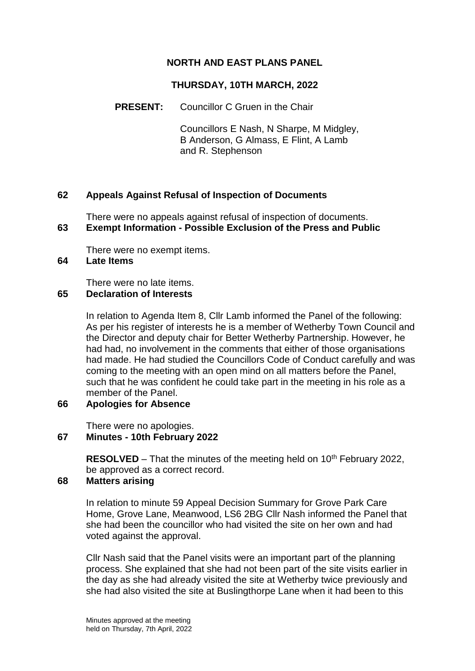# **NORTH AND EAST PLANS PANEL**

# **THURSDAY, 10TH MARCH, 2022**

# **PRESENT:** Councillor C Gruen in the Chair

Councillors E Nash, N Sharpe, M Midgley, B Anderson, G Almass, E Flint, A Lamb and R. Stephenson

## **62 Appeals Against Refusal of Inspection of Documents**

There were no appeals against refusal of inspection of documents. **63 Exempt Information - Possible Exclusion of the Press and Public**

There were no exempt items.

## **64 Late Items**

There were no late items.

#### **65 Declaration of Interests**

In relation to Agenda Item 8, Cllr Lamb informed the Panel of the following: As per his register of interests he is a member of Wetherby Town Council and the Director and deputy chair for Better Wetherby Partnership. However, he had had, no involvement in the comments that either of those organisations had made. He had studied the Councillors Code of Conduct carefully and was coming to the meeting with an open mind on all matters before the Panel, such that he was confident he could take part in the meeting in his role as a member of the Panel.

#### **66 Apologies for Absence**

There were no apologies.

#### **67 Minutes - 10th February 2022**

**RESOLVED** – That the minutes of the meeting held on 10<sup>th</sup> February 2022, be approved as a correct record.

#### **68 Matters arising**

In relation to minute 59 Appeal Decision Summary for Grove Park Care Home, Grove Lane, Meanwood, LS6 2BG Cllr Nash informed the Panel that she had been the councillor who had visited the site on her own and had voted against the approval.

Cllr Nash said that the Panel visits were an important part of the planning process. She explained that she had not been part of the site visits earlier in the day as she had already visited the site at Wetherby twice previously and she had also visited the site at Buslingthorpe Lane when it had been to this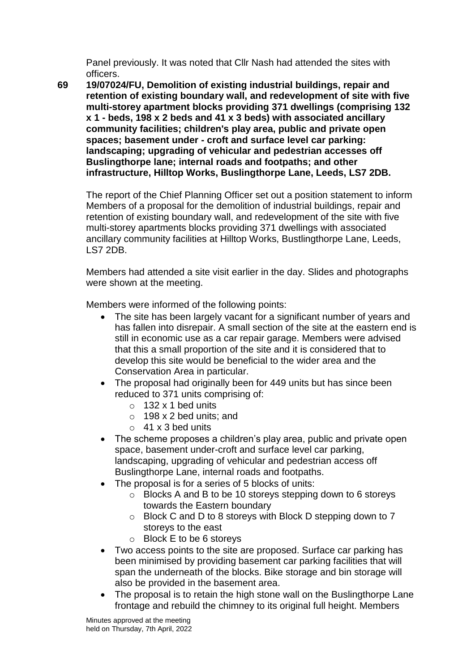Panel previously. It was noted that Cllr Nash had attended the sites with officers.

**69 19/07024/FU, Demolition of existing industrial buildings, repair and retention of existing boundary wall, and redevelopment of site with five multi-storey apartment blocks providing 371 dwellings (comprising 132 x 1 - beds, 198 x 2 beds and 41 x 3 beds) with associated ancillary community facilities; children's play area, public and private open spaces; basement under - croft and surface level car parking: landscaping; upgrading of vehicular and pedestrian accesses off Buslingthorpe lane; internal roads and footpaths; and other infrastructure, Hilltop Works, Buslingthorpe Lane, Leeds, LS7 2DB.**

The report of the Chief Planning Officer set out a position statement to inform Members of a proposal for the demolition of industrial buildings, repair and retention of existing boundary wall, and redevelopment of the site with five multi-storey apartments blocks providing 371 dwellings with associated ancillary community facilities at Hilltop Works, Bustlingthorpe Lane, Leeds, LS7 2DB.

Members had attended a site visit earlier in the day. Slides and photographs were shown at the meeting.

Members were informed of the following points:

- The site has been largely vacant for a significant number of years and has fallen into disrepair. A small section of the site at the eastern end is still in economic use as a car repair garage. Members were advised that this a small proportion of the site and it is considered that to develop this site would be beneficial to the wider area and the Conservation Area in particular.
- The proposal had originally been for 449 units but has since been reduced to 371 units comprising of:
	- $\circ$  132 x 1 bed units
	- $\circ$  198 x 2 bed units; and
	- $\circ$  41 x 3 bed units
- The scheme proposes a children's play area, public and private open space, basement under-croft and surface level car parking, landscaping, upgrading of vehicular and pedestrian access off Buslingthorpe Lane, internal roads and footpaths.
- The proposal is for a series of 5 blocks of units:
	- o Blocks A and B to be 10 storeys stepping down to 6 storeys towards the Eastern boundary
	- o Block C and D to 8 storeys with Block D stepping down to 7 storeys to the east
	- o Block E to be 6 storeys
- Two access points to the site are proposed. Surface car parking has been minimised by providing basement car parking facilities that will span the underneath of the blocks. Bike storage and bin storage will also be provided in the basement area.
- The proposal is to retain the high stone wall on the Buslingthorpe Lane frontage and rebuild the chimney to its original full height. Members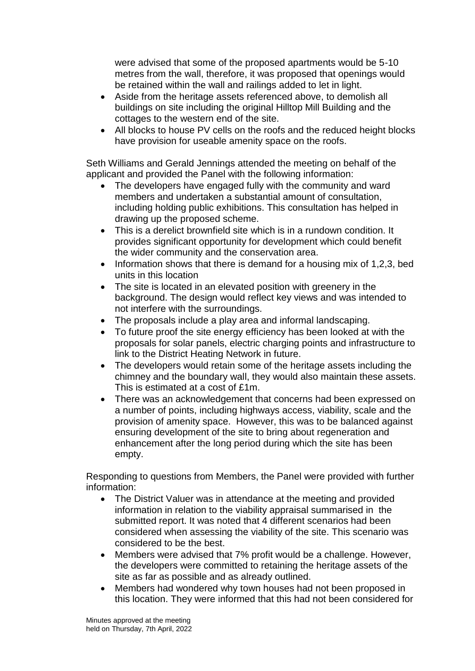were advised that some of the proposed apartments would be 5-10 metres from the wall, therefore, it was proposed that openings would be retained within the wall and railings added to let in light.

- Aside from the heritage assets referenced above, to demolish all buildings on site including the original Hilltop Mill Building and the cottages to the western end of the site.
- All blocks to house PV cells on the roofs and the reduced height blocks have provision for useable amenity space on the roofs.

Seth Williams and Gerald Jennings attended the meeting on behalf of the applicant and provided the Panel with the following information:

- The developers have engaged fully with the community and ward members and undertaken a substantial amount of consultation, including holding public exhibitions. This consultation has helped in drawing up the proposed scheme.
- This is a derelict brownfield site which is in a rundown condition. It provides significant opportunity for development which could benefit the wider community and the conservation area.
- Information shows that there is demand for a housing mix of 1,2,3, bed units in this location
- The site is located in an elevated position with greenery in the background. The design would reflect key views and was intended to not interfere with the surroundings.
- The proposals include a play area and informal landscaping.
- To future proof the site energy efficiency has been looked at with the proposals for solar panels, electric charging points and infrastructure to link to the District Heating Network in future.
- The developers would retain some of the heritage assets including the chimney and the boundary wall, they would also maintain these assets. This is estimated at a cost of £1m.
- There was an acknowledgement that concerns had been expressed on a number of points, including highways access, viability, scale and the provision of amenity space. However, this was to be balanced against ensuring development of the site to bring about regeneration and enhancement after the long period during which the site has been empty.

Responding to questions from Members, the Panel were provided with further information:

- The District Valuer was in attendance at the meeting and provided information in relation to the viability appraisal summarised in the submitted report. It was noted that 4 different scenarios had been considered when assessing the viability of the site. This scenario was considered to be the best.
- Members were advised that 7% profit would be a challenge. However, the developers were committed to retaining the heritage assets of the site as far as possible and as already outlined.
- Members had wondered why town houses had not been proposed in this location. They were informed that this had not been considered for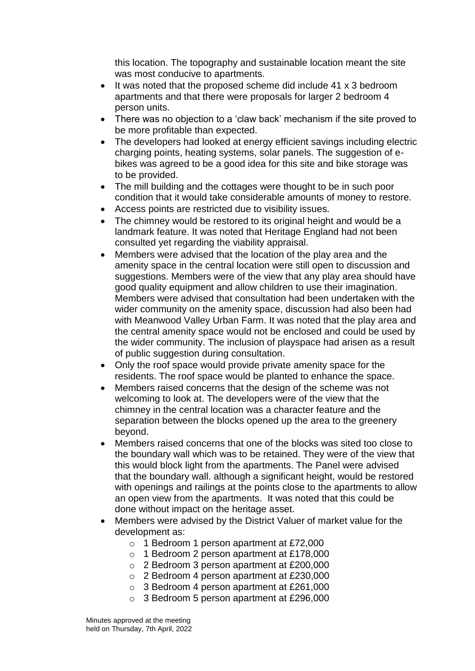this location. The topography and sustainable location meant the site was most conducive to apartments.

- It was noted that the proposed scheme did include 41 x 3 bedroom apartments and that there were proposals for larger 2 bedroom 4 person units.
- There was no objection to a 'claw back' mechanism if the site proved to be more profitable than expected.
- The developers had looked at energy efficient savings including electric charging points, heating systems, solar panels. The suggestion of ebikes was agreed to be a good idea for this site and bike storage was to be provided.
- The mill building and the cottages were thought to be in such poor condition that it would take considerable amounts of money to restore.
- Access points are restricted due to visibility issues.
- The chimney would be restored to its original height and would be a landmark feature. It was noted that Heritage England had not been consulted yet regarding the viability appraisal.
- Members were advised that the location of the play area and the amenity space in the central location were still open to discussion and suggestions. Members were of the view that any play area should have good quality equipment and allow children to use their imagination. Members were advised that consultation had been undertaken with the wider community on the amenity space, discussion had also been had with Meanwood Valley Urban Farm. It was noted that the play area and the central amenity space would not be enclosed and could be used by the wider community. The inclusion of playspace had arisen as a result of public suggestion during consultation.
- Only the roof space would provide private amenity space for the residents. The roof space would be planted to enhance the space.
- Members raised concerns that the design of the scheme was not welcoming to look at. The developers were of the view that the chimney in the central location was a character feature and the separation between the blocks opened up the area to the greenery beyond.
- Members raised concerns that one of the blocks was sited too close to the boundary wall which was to be retained. They were of the view that this would block light from the apartments. The Panel were advised that the boundary wall. although a significant height, would be restored with openings and railings at the points close to the apartments to allow an open view from the apartments. It was noted that this could be done without impact on the heritage asset.
- Members were advised by the District Valuer of market value for the development as:
	- o 1 Bedroom 1 person apartment at £72,000
	- o 1 Bedroom 2 person apartment at £178,000
	- o 2 Bedroom 3 person apartment at £200,000
	- o 2 Bedroom 4 person apartment at £230,000
	- o 3 Bedroom 4 person apartment at £261,000
	- o 3 Bedroom 5 person apartment at £296,000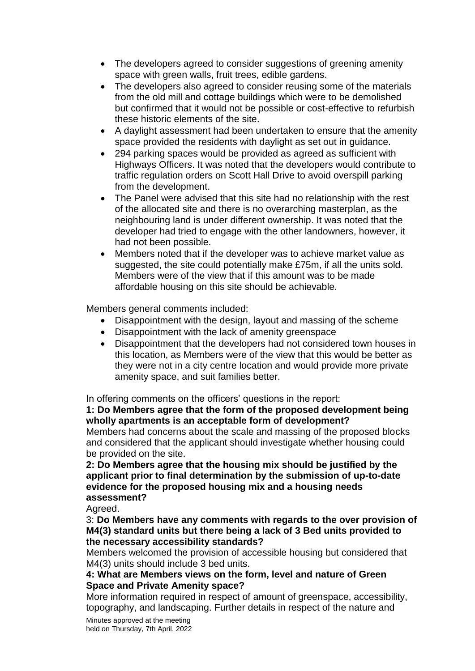- The developers agreed to consider suggestions of greening amenity space with green walls, fruit trees, edible gardens.
- The developers also agreed to consider reusing some of the materials from the old mill and cottage buildings which were to be demolished but confirmed that it would not be possible or cost-effective to refurbish these historic elements of the site.
- A daylight assessment had been undertaken to ensure that the amenity space provided the residents with daylight as set out in guidance.
- 294 parking spaces would be provided as agreed as sufficient with Highways Officers. It was noted that the developers would contribute to traffic regulation orders on Scott Hall Drive to avoid overspill parking from the development.
- The Panel were advised that this site had no relationship with the rest of the allocated site and there is no overarching masterplan, as the neighbouring land is under different ownership. It was noted that the developer had tried to engage with the other landowners, however, it had not been possible.
- Members noted that if the developer was to achieve market value as suggested, the site could potentially make £75m, if all the units sold. Members were of the view that if this amount was to be made affordable housing on this site should be achievable.

Members general comments included:

- Disappointment with the design, layout and massing of the scheme
- Disappointment with the lack of amenity greenspace
- Disappointment that the developers had not considered town houses in this location, as Members were of the view that this would be better as they were not in a city centre location and would provide more private amenity space, and suit families better.

In offering comments on the officers' questions in the report:

## **1: Do Members agree that the form of the proposed development being wholly apartments is an acceptable form of development?**

Members had concerns about the scale and massing of the proposed blocks and considered that the applicant should investigate whether housing could be provided on the site.

**2: Do Members agree that the housing mix should be justified by the applicant prior to final determination by the submission of up-to-date evidence for the proposed housing mix and a housing needs assessment?**

Agreed.

3: **Do Members have any comments with regards to the over provision of M4(3) standard units but there being a lack of 3 Bed units provided to the necessary accessibility standards?**

Members welcomed the provision of accessible housing but considered that M4(3) units should include 3 bed units.

## **4: What are Members views on the form, level and nature of Green Space and Private Amenity space?**

More information required in respect of amount of greenspace, accessibility, topography, and landscaping. Further details in respect of the nature and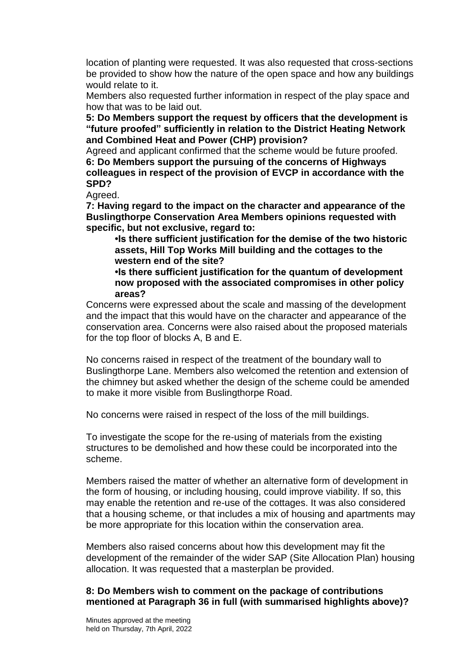location of planting were requested. It was also requested that cross-sections be provided to show how the nature of the open space and how any buildings would relate to it.

Members also requested further information in respect of the play space and how that was to be laid out.

**5: Do Members support the request by officers that the development is "future proofed" sufficiently in relation to the District Heating Network and Combined Heat and Power (CHP) provision?**

Agreed and applicant confirmed that the scheme would be future proofed. **6: Do Members support the pursuing of the concerns of Highways colleagues in respect of the provision of EVCP in accordance with the SPD?**

Agreed.

**7: Having regard to the impact on the character and appearance of the Buslingthorpe Conservation Area Members opinions requested with specific, but not exclusive, regard to:**

**•Is there sufficient justification for the demise of the two historic assets, Hill Top Works Mill building and the cottages to the western end of the site?**

**•Is there sufficient justification for the quantum of development now proposed with the associated compromises in other policy areas?**

Concerns were expressed about the scale and massing of the development and the impact that this would have on the character and appearance of the conservation area. Concerns were also raised about the proposed materials for the top floor of blocks A, B and E.

No concerns raised in respect of the treatment of the boundary wall to Buslingthorpe Lane. Members also welcomed the retention and extension of the chimney but asked whether the design of the scheme could be amended to make it more visible from Buslingthorpe Road.

No concerns were raised in respect of the loss of the mill buildings.

To investigate the scope for the re-using of materials from the existing structures to be demolished and how these could be incorporated into the scheme.

Members raised the matter of whether an alternative form of development in the form of housing, or including housing, could improve viability. If so, this may enable the retention and re-use of the cottages. It was also considered that a housing scheme, or that includes a mix of housing and apartments may be more appropriate for this location within the conservation area.

Members also raised concerns about how this development may fit the development of the remainder of the wider SAP (Site Allocation Plan) housing allocation. It was requested that a masterplan be provided.

#### **8: Do Members wish to comment on the package of contributions mentioned at Paragraph 36 in full (with summarised highlights above)?**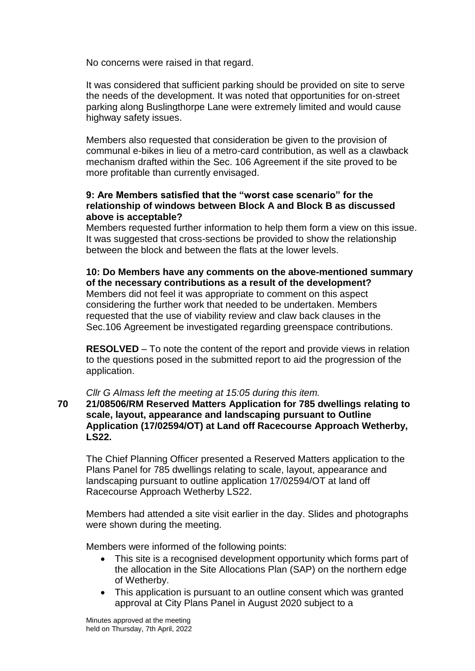No concerns were raised in that regard.

It was considered that sufficient parking should be provided on site to serve the needs of the development. It was noted that opportunities for on-street parking along Buslingthorpe Lane were extremely limited and would cause highway safety issues.

Members also requested that consideration be given to the provision of communal e-bikes in lieu of a metro-card contribution, as well as a clawback mechanism drafted within the Sec. 106 Agreement if the site proved to be more profitable than currently envisaged.

#### **9: Are Members satisfied that the "worst case scenario" for the relationship of windows between Block A and Block B as discussed above is acceptable?**

Members requested further information to help them form a view on this issue. It was suggested that cross-sections be provided to show the relationship between the block and between the flats at the lower levels.

# **10: Do Members have any comments on the above-mentioned summary of the necessary contributions as a result of the development?**

Members did not feel it was appropriate to comment on this aspect considering the further work that needed to be undertaken. Members requested that the use of viability review and claw back clauses in the Sec.106 Agreement be investigated regarding greenspace contributions.

**RESOLVED** – To note the content of the report and provide views in relation to the questions posed in the submitted report to aid the progression of the application.

#### *Cllr G Almass left the meeting at 15:05 during this item.*

#### **70 21/08506/RM Reserved Matters Application for 785 dwellings relating to scale, layout, appearance and landscaping pursuant to Outline Application (17/02594/OT) at Land off Racecourse Approach Wetherby, LS22.**

The Chief Planning Officer presented a Reserved Matters application to the Plans Panel for 785 dwellings relating to scale, layout, appearance and landscaping pursuant to outline application 17/02594/OT at land off Racecourse Approach Wetherby LS22.

Members had attended a site visit earlier in the day. Slides and photographs were shown during the meeting.

Members were informed of the following points:

- This site is a recognised development opportunity which forms part of the allocation in the Site Allocations Plan (SAP) on the northern edge of Wetherby.
- This application is pursuant to an outline consent which was granted approval at City Plans Panel in August 2020 subject to a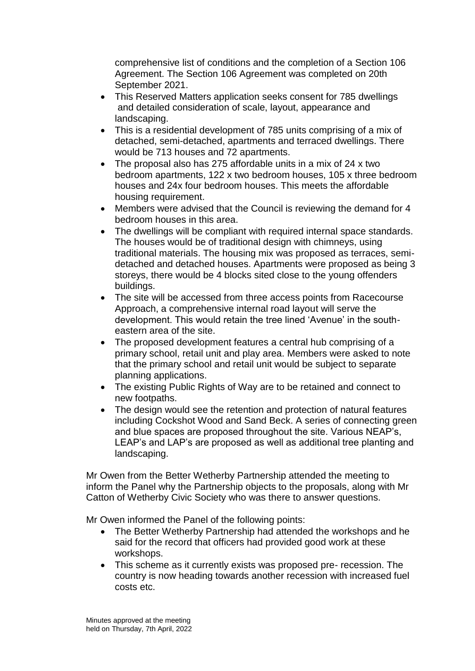comprehensive list of conditions and the completion of a Section 106 Agreement. The Section 106 Agreement was completed on 20th September 2021.

- This Reserved Matters application seeks consent for 785 dwellings and detailed consideration of scale, layout, appearance and landscaping.
- This is a residential development of 785 units comprising of a mix of detached, semi-detached, apartments and terraced dwellings. There would be 713 houses and 72 apartments.
- The proposal also has 275 affordable units in a mix of 24 x two bedroom apartments, 122 x two bedroom houses, 105 x three bedroom houses and 24x four bedroom houses. This meets the affordable housing requirement.
- Members were advised that the Council is reviewing the demand for 4 bedroom houses in this area.
- The dwellings will be compliant with required internal space standards. The houses would be of traditional design with chimneys, using traditional materials. The housing mix was proposed as terraces, semidetached and detached houses. Apartments were proposed as being 3 storeys, there would be 4 blocks sited close to the young offenders buildings.
- The site will be accessed from three access points from Racecourse Approach, a comprehensive internal road layout will serve the development. This would retain the tree lined 'Avenue' in the southeastern area of the site.
- The proposed development features a central hub comprising of a primary school, retail unit and play area. Members were asked to note that the primary school and retail unit would be subject to separate planning applications.
- The existing Public Rights of Way are to be retained and connect to new footpaths.
- The design would see the retention and protection of natural features including Cockshot Wood and Sand Beck. A series of connecting green and blue spaces are proposed throughout the site. Various NEAP's, LEAP's and LAP's are proposed as well as additional tree planting and landscaping.

Mr Owen from the Better Wetherby Partnership attended the meeting to inform the Panel why the Partnership objects to the proposals, along with Mr Catton of Wetherby Civic Society who was there to answer questions.

Mr Owen informed the Panel of the following points:

- The Better Wetherby Partnership had attended the workshops and he said for the record that officers had provided good work at these workshops.
- This scheme as it currently exists was proposed pre- recession. The country is now heading towards another recession with increased fuel costs etc.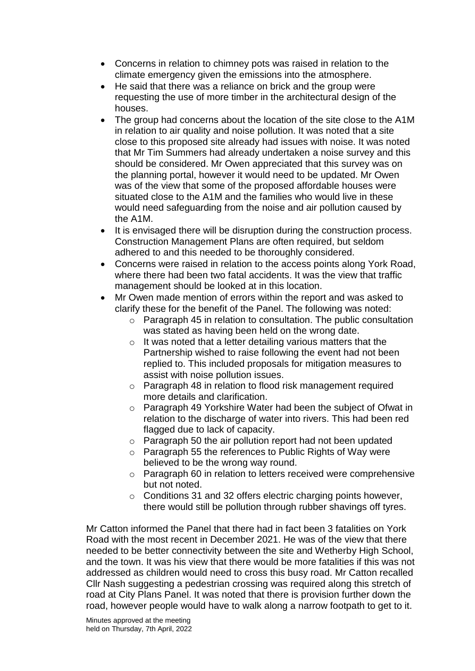- Concerns in relation to chimney pots was raised in relation to the climate emergency given the emissions into the atmosphere.
- He said that there was a reliance on brick and the group were requesting the use of more timber in the architectural design of the houses.
- The group had concerns about the location of the site close to the A1M in relation to air quality and noise pollution. It was noted that a site close to this proposed site already had issues with noise. It was noted that Mr Tim Summers had already undertaken a noise survey and this should be considered. Mr Owen appreciated that this survey was on the planning portal, however it would need to be updated. Mr Owen was of the view that some of the proposed affordable houses were situated close to the A1M and the families who would live in these would need safeguarding from the noise and air pollution caused by the A1M.
- It is envisaged there will be disruption during the construction process. Construction Management Plans are often required, but seldom adhered to and this needed to be thoroughly considered.
- Concerns were raised in relation to the access points along York Road, where there had been two fatal accidents. It was the view that traffic management should be looked at in this location.
- Mr Owen made mention of errors within the report and was asked to clarify these for the benefit of the Panel. The following was noted:
	- o Paragraph 45 in relation to consultation. The public consultation was stated as having been held on the wrong date.
	- $\circ$  It was noted that a letter detailing various matters that the Partnership wished to raise following the event had not been replied to. This included proposals for mitigation measures to assist with noise pollution issues.
	- o Paragraph 48 in relation to flood risk management required more details and clarification.
	- o Paragraph 49 Yorkshire Water had been the subject of Ofwat in relation to the discharge of water into rivers. This had been red flagged due to lack of capacity.
	- o Paragraph 50 the air pollution report had not been updated
	- o Paragraph 55 the references to Public Rights of Way were believed to be the wrong way round.
	- o Paragraph 60 in relation to letters received were comprehensive but not noted.
	- o Conditions 31 and 32 offers electric charging points however, there would still be pollution through rubber shavings off tyres.

Mr Catton informed the Panel that there had in fact been 3 fatalities on York Road with the most recent in December 2021. He was of the view that there needed to be better connectivity between the site and Wetherby High School, and the town. It was his view that there would be more fatalities if this was not addressed as children would need to cross this busy road. Mr Catton recalled Cllr Nash suggesting a pedestrian crossing was required along this stretch of road at City Plans Panel. It was noted that there is provision further down the road, however people would have to walk along a narrow footpath to get to it.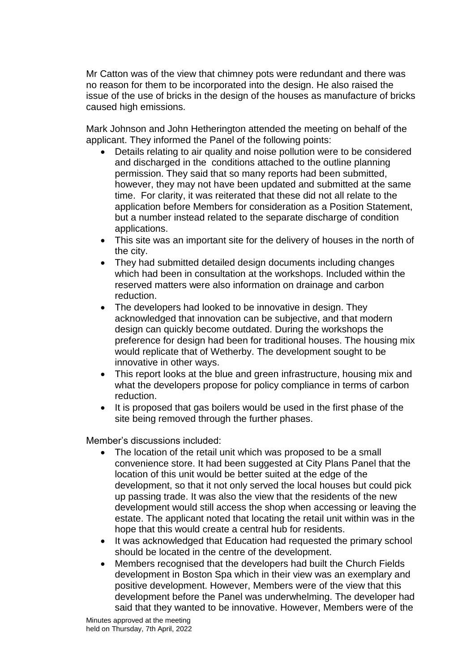Mr Catton was of the view that chimney pots were redundant and there was no reason for them to be incorporated into the design. He also raised the issue of the use of bricks in the design of the houses as manufacture of bricks caused high emissions.

Mark Johnson and John Hetherington attended the meeting on behalf of the applicant. They informed the Panel of the following points:

- Details relating to air quality and noise pollution were to be considered and discharged in the conditions attached to the outline planning permission. They said that so many reports had been submitted, however, they may not have been updated and submitted at the same time. For clarity, it was reiterated that these did not all relate to the application before Members for consideration as a Position Statement, but a number instead related to the separate discharge of condition applications.
- This site was an important site for the delivery of houses in the north of the city.
- They had submitted detailed design documents including changes which had been in consultation at the workshops. Included within the reserved matters were also information on drainage and carbon reduction.
- The developers had looked to be innovative in design. They acknowledged that innovation can be subjective, and that modern design can quickly become outdated. During the workshops the preference for design had been for traditional houses. The housing mix would replicate that of Wetherby. The development sought to be innovative in other ways.
- This report looks at the blue and green infrastructure, housing mix and what the developers propose for policy compliance in terms of carbon reduction.
- It is proposed that gas boilers would be used in the first phase of the site being removed through the further phases.

Member's discussions included:

- The location of the retail unit which was proposed to be a small convenience store. It had been suggested at City Plans Panel that the location of this unit would be better suited at the edge of the development, so that it not only served the local houses but could pick up passing trade. It was also the view that the residents of the new development would still access the shop when accessing or leaving the estate. The applicant noted that locating the retail unit within was in the hope that this would create a central hub for residents.
- It was acknowledged that Education had requested the primary school should be located in the centre of the development.
- Members recognised that the developers had built the Church Fields development in Boston Spa which in their view was an exemplary and positive development. However, Members were of the view that this development before the Panel was underwhelming. The developer had said that they wanted to be innovative. However, Members were of the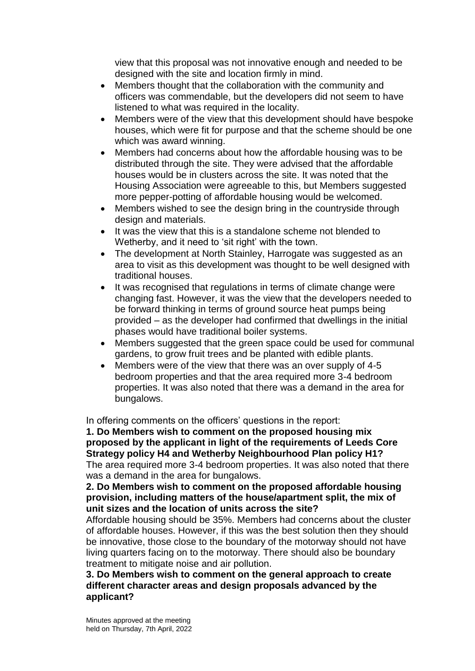view that this proposal was not innovative enough and needed to be designed with the site and location firmly in mind.

- Members thought that the collaboration with the community and officers was commendable, but the developers did not seem to have listened to what was required in the locality.
- Members were of the view that this development should have bespoke houses, which were fit for purpose and that the scheme should be one which was award winning.
- Members had concerns about how the affordable housing was to be distributed through the site. They were advised that the affordable houses would be in clusters across the site. It was noted that the Housing Association were agreeable to this, but Members suggested more pepper-potting of affordable housing would be welcomed.
- Members wished to see the design bring in the countryside through design and materials.
- It was the view that this is a standalone scheme not blended to Wetherby, and it need to 'sit right' with the town.
- The development at North Stainley, Harrogate was suggested as an area to visit as this development was thought to be well designed with traditional houses.
- It was recognised that regulations in terms of climate change were changing fast. However, it was the view that the developers needed to be forward thinking in terms of ground source heat pumps being provided – as the developer had confirmed that dwellings in the initial phases would have traditional boiler systems.
- Members suggested that the green space could be used for communal gardens, to grow fruit trees and be planted with edible plants.
- Members were of the view that there was an over supply of 4-5 bedroom properties and that the area required more 3-4 bedroom properties. It was also noted that there was a demand in the area for bungalows.

In offering comments on the officers' questions in the report:

**1. Do Members wish to comment on the proposed housing mix proposed by the applicant in light of the requirements of Leeds Core Strategy policy H4 and Wetherby Neighbourhood Plan policy H1?** The area required more 3-4 bedroom properties. It was also noted that there was a demand in the area for bungalows.

**2. Do Members wish to comment on the proposed affordable housing provision, including matters of the house/apartment split, the mix of unit sizes and the location of units across the site?**

Affordable housing should be 35%. Members had concerns about the cluster of affordable houses. However, if this was the best solution then they should be innovative, those close to the boundary of the motorway should not have living quarters facing on to the motorway. There should also be boundary treatment to mitigate noise and air pollution.

**3. Do Members wish to comment on the general approach to create different character areas and design proposals advanced by the applicant?**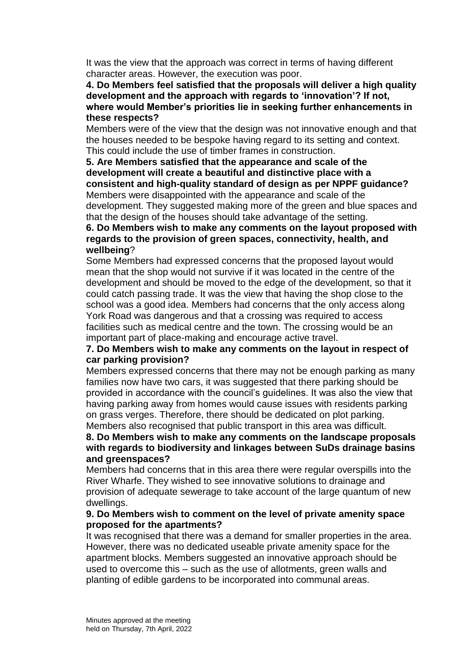It was the view that the approach was correct in terms of having different character areas. However, the execution was poor.

#### **4. Do Members feel satisfied that the proposals will deliver a high quality development and the approach with regards to 'innovation'? If not, where would Member's priorities lie in seeking further enhancements in these respects?**

Members were of the view that the design was not innovative enough and that the houses needed to be bespoke having regard to its setting and context. This could include the use of timber frames in construction.

**5. Are Members satisfied that the appearance and scale of the development will create a beautiful and distinctive place with a consistent and high-quality standard of design as per NPPF guidance?**

Members were disappointed with the appearance and scale of the development. They suggested making more of the green and blue spaces and that the design of the houses should take advantage of the setting.

#### **6. Do Members wish to make any comments on the layout proposed with regards to the provision of green spaces, connectivity, health, and wellbeing**?

Some Members had expressed concerns that the proposed layout would mean that the shop would not survive if it was located in the centre of the development and should be moved to the edge of the development, so that it could catch passing trade. It was the view that having the shop close to the school was a good idea. Members had concerns that the only access along York Road was dangerous and that a crossing was required to access facilities such as medical centre and the town. The crossing would be an important part of place-making and encourage active travel.

## **7. Do Members wish to make any comments on the layout in respect of car parking provision?**

Members expressed concerns that there may not be enough parking as many families now have two cars, it was suggested that there parking should be provided in accordance with the council's guidelines. It was also the view that having parking away from homes would cause issues with residents parking on grass verges. Therefore, there should be dedicated on plot parking. Members also recognised that public transport in this area was difficult.

#### **8. Do Members wish to make any comments on the landscape proposals with regards to biodiversity and linkages between SuDs drainage basins and greenspaces?**

Members had concerns that in this area there were regular overspills into the River Wharfe. They wished to see innovative solutions to drainage and provision of adequate sewerage to take account of the large quantum of new dwellings.

#### **9. Do Members wish to comment on the level of private amenity space proposed for the apartments?**

It was recognised that there was a demand for smaller properties in the area. However, there was no dedicated useable private amenity space for the apartment blocks. Members suggested an innovative approach should be used to overcome this – such as the use of allotments, green walls and planting of edible gardens to be incorporated into communal areas.